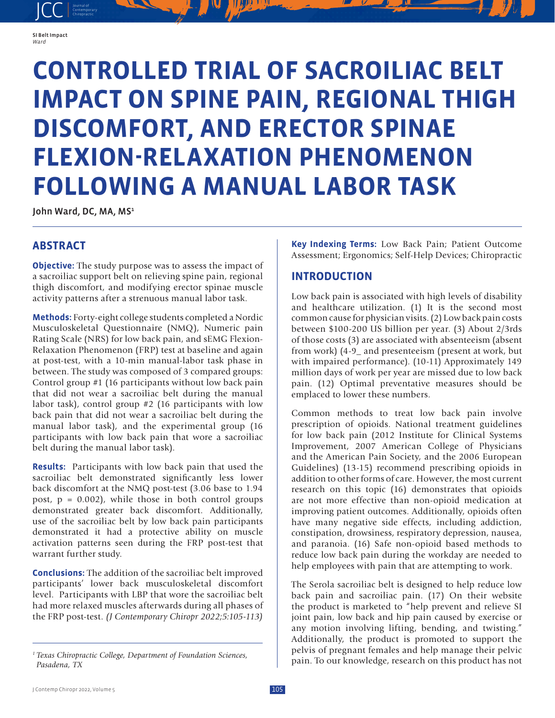#### SI Belt Impact *Ward*

JCC contemporary Contemporary

# **CONTROLLED TRIAL OF SACROILIAC BELT IMPACT ON SPINE PAIN, REGIONAL THIGH DISCOMFORT, AND ERECTOR SPINAE FLEXION-RELAXATION PHENOMENON FOLLOWING A MANUAL LABOR TASK**

John Ward, DC, MA, MS<sup>1</sup>

## **ABSTRACT**

**Objective:** The study purpose was to assess the impact of a sacroiliac support belt on relieving spine pain, regional thigh discomfort, and modifying erector spinae muscle activity patterns after a strenuous manual labor task.

**Methods:** Forty-eight college students completed a Nordic Musculoskeletal Questionnaire (NMQ), Numeric pain Rating Scale (NRS) for low back pain, and sEMG Flexion-Relaxation Phenomenon (FRP) test at baseline and again at post-test, with a 10-min manual-labor task phase in between. The study was composed of 3 compared groups: Control group #1 (16 participants without low back pain that did not wear a sacroiliac belt during the manual labor task), control group #2 (16 participants with low back pain that did not wear a sacroiliac belt during the manual labor task), and the experimental group (16 participants with low back pain that wore a sacroiliac belt during the manual labor task).

**Results:** Participants with low back pain that used the sacroiliac belt demonstrated significantly less lower back discomfort at the NMQ post-test (3.06 base to 1.94 post,  $p = 0.002$ , while those in both control groups demonstrated greater back discomfort. Additionally, use of the sacroiliac belt by low back pain participants demonstrated it had a protective ability on muscle activation patterns seen during the FRP post-test that warrant further study.

**Conclusions:** The addition of the sacroiliac belt improved participants' lower back musculoskeletal discomfort level. Participants with LBP that wore the sacroiliac belt had more relaxed muscles afterwards during all phases of the FRP post-test. *(J Contemporary Chiropr 2022;5:105-113)*

**Key Indexing Terms:** Low Back Pain; Patient Outcome Assessment; Ergonomics; Self-Help Devices; Chiropractic

## **INTRODUCTION**

Low back pain is associated with high levels of disability and healthcare utilization. (1) It is the second most common cause for physician visits. (2) Low back pain costs between \$100-200 US billion per year. (3) About 2/3rds of those costs (3) are associated with absenteeism (absent from work) (4-9\_ and presenteeism (present at work, but with impaired performance). (10-11) Approximately 149 million days of work per year are missed due to low back pain. (12) Optimal preventative measures should be emplaced to lower these numbers.

Common methods to treat low back pain involve prescription of opioids. National treatment guidelines for low back pain (2012 Institute for Clinical Systems Improvement, 2007 American College of Physicians and the American Pain Society, and the 2006 European Guidelines) (13-15) recommend prescribing opioids in addition to other forms of care. However, the most current research on this topic (16) demonstrates that opioids are not more effective than non-opioid medication at improving patient outcomes. Additionally, opioids often have many negative side effects, including addiction, constipation, drowsiness, respiratory depression, nausea, and paranoia. (16) Safe non-opioid based methods to reduce low back pain during the workday are needed to help employees with pain that are attempting to work.

The Serola sacroiliac belt is designed to help reduce low back pain and sacroiliac pain. (17) On their website the product is marketed to "help prevent and relieve SI joint pain, low back and hip pain caused by exercise or any motion involving lifting, bending, and twisting." Additionally, the product is promoted to support the pelvis of pregnant females and help manage their pelvic pain. To our knowledge, research on this product has not

*<sup>1</sup> Texas Chiropractic College, Department of Foundation Sciences, Pasadena, TX*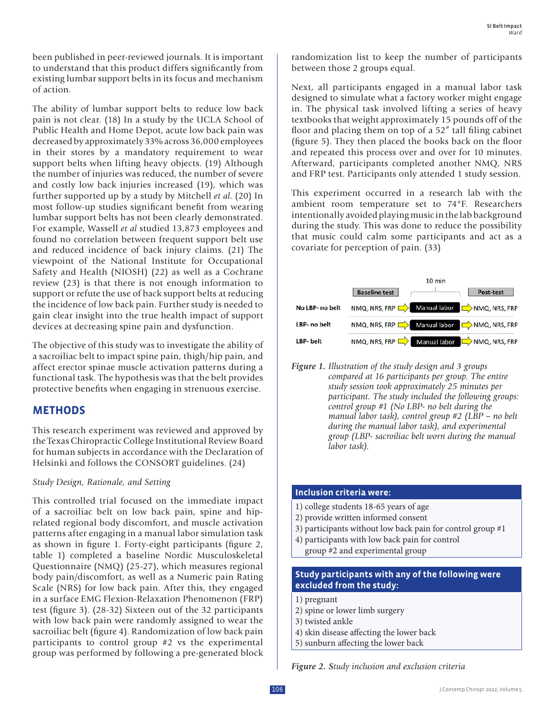been published in peer-reviewed journals. It is important to understand that this product differs significantly from existing lumbar support belts in its focus and mechanism of action.

The ability of lumbar support belts to reduce low back pain is not clear. (18) In a study by the UCLA School of Public Health and Home Depot, acute low back pain was decreased by approximately 33% across 36,000 employees in their stores by a mandatory requirement to wear support belts when lifting heavy objects. (19) Although the number of injuries was reduced, the number of severe and costly low back injuries increased (19), which was further supported up by a study by Mitchell *et al*. (20) In most follow-up studies significant benefit from wearing lumbar support belts has not been clearly demonstrated. For example, Wassell *et al* studied 13,873 employees and found no correlation between frequent support belt use and reduced incidence of back injury claims. (21) The viewpoint of the National Institute for Occupational Safety and Health (NIOSH) (22) as well as a Cochrane review (23) is that there is not enough information to support or refute the use of back support belts at reducing the incidence of low back pain. Further study is needed to gain clear insight into the true health impact of support devices at decreasing spine pain and dysfunction.

The objective of this study was to investigate the ability of a sacroiliac belt to impact spine pain, thigh/hip pain, and affect erector spinae muscle activation patterns during a functional task. The hypothesis was that the belt provides protective benefits when engaging in strenuous exercise.

## **METHODS**

This research experiment was reviewed and approved by the Texas Chiropractic College Institutional Review Board for human subjects in accordance with the Declaration of Helsinki and follows the CONSORT guidelines. (24)

### *Study Design, Rationale, and Setting*

This controlled trial focused on the immediate impact of a sacroiliac belt on low back pain, spine and hiprelated regional body discomfort, and muscle activation patterns after engaging in a manual labor simulation task as shown in figure 1. Forty-eight participants (figure 2, table 1) completed a baseline Nordic Musculoskeletal Questionnaire (NMQ) (25-27), which measures regional body pain/discomfort, as well as a Numeric pain Rating Scale (NRS) for low back pain. After this, they engaged in a surface EMG Flexion-Relaxation Phenomenon (FRP) test (figure 3). (28-32) Sixteen out of the 32 participants with low back pain were randomly assigned to wear the sacroiliac belt (figure 4). Randomization of low back pain participants to control group #2 vs the experimental group was performed by following a pre-generated block

randomization list to keep the number of participants between those 2 groups equal.

Next, all participants engaged in a manual labor task designed to simulate what a factory worker might engage in. The physical task involved lifting a series of heavy textbooks that weight approximately 15 pounds off of the floor and placing them on top of a 52" tall filing cabinet (figure 5). They then placed the books back on the floor and repeated this process over and over for 10 minutes. Afterward, participants completed another NMQ, NRS and FRP test. Participants only attended 1 study session.

This experiment occurred in a research lab with the ambient room temperature set to 74°F. Researchers intentionally avoided playing music in the lab background during the study. This was done to reduce the possibility that music could calm some participants and act as a covariate for perception of pain. (33)



*Figure 1. Illustration of the study design and 3 groups compared at 16 participants per group. The entire study session took approximately 25 minutes per participant. The study included the following groups: control group #1 (No LBP- no belt during the manual labor task), control group #2 (LBP – no belt during the manual labor task), and experimental group (LBP- sacroiliac belt worn during the manual labor task).*

## **Inclusion criteria were:**

- 1) college students 18-65 years of age
- 2) provide written informed consent
- 3) participants without low back pain for control group #1
- 4) participants with low back pain for control group #2 and experimental group

### **Study participants with any of the following were excluded from the study:**

- 1) pregnant
- 2) spine or lower limb surgery
- 3) twisted ankle
- 4) skin disease affecting the lower back
- 5) sunburn affecting the lower back

*Figure 2. Study inclusion and exclusion criteria*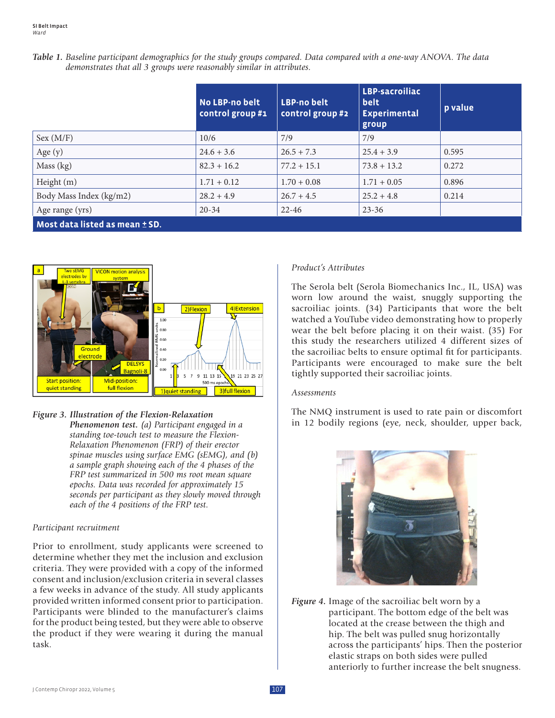|                                                                       | Table 1. Baseline participant demographics for the study groups compared. Data compared with a one-way ANOVA. The data |
|-----------------------------------------------------------------------|------------------------------------------------------------------------------------------------------------------------|
| demonstrates that all 3 groups were reasonably similar in attributes. |                                                                                                                        |

|                                | No LBP-no belt<br>control group #1 | <b>LBP-no belt</b><br>control group #2 | LBP-sacroiliac<br>belt<br><b>Experimental</b><br>group | p value |
|--------------------------------|------------------------------------|----------------------------------------|--------------------------------------------------------|---------|
| Sex (M/F)                      | 10/6                               | 7/9                                    | 7/9                                                    |         |
| Age $(y)$                      | $24.6 + 3.6$                       | $26.5 + 7.3$                           | $25.4 + 3.9$                                           | 0.595   |
| Mass (kg)                      | $82.3 + 16.2$                      | $77.2 + 15.1$                          | $73.8 + 13.2$                                          | 0.272   |
| Height (m)                     | $1.71 + 0.12$                      | $1.70 + 0.08$                          | $1.71 + 0.05$                                          | 0.896   |
| Body Mass Index (kg/m2)        | $28.2 + 4.9$                       | $26.7 + 4.5$                           | $25.2 + 4.8$                                           | 0.214   |
| Age range (yrs)                | $20 - 34$                          | $22 - 46$                              | $23 - 36$                                              |         |
| Most data listed as mean ± SD. |                                    |                                        |                                                        |         |



### *Figure 3. Illustration of the Flexion-Relaxation*

*Phenomenon test. (a) Participant engaged in a standing toe-touch test to measure the Flexion-Relaxation Phenomenon (FRP) of their erector spinae muscles using surface EMG (sEMG), and (b) a sample graph showing each of the 4 phases of the FRP test summarized in 500 ms root mean square epochs. Data was recorded for approximately 15 seconds per participant as they slowly moved through each of the 4 positions of the FRP test.*

### *Participant recruitment*

Prior to enrollment, study applicants were screened to determine whether they met the inclusion and exclusion criteria. They were provided with a copy of the informed consent and inclusion/exclusion criteria in several classes a few weeks in advance of the study. All study applicants provided written informed consent prior to participation. Participants were blinded to the manufacturer's claims for the product being tested, but they were able to observe the product if they were wearing it during the manual task.

#### *Product's Attributes*

The Serola belt (Serola Biomechanics Inc., IL, USA) was worn low around the waist, snuggly supporting the sacroiliac joints. (34) Participants that wore the belt watched a YouTube video demonstrating how to properly wear the belt before placing it on their waist. (35) For this study the researchers utilized 4 different sizes of the sacroiliac belts to ensure optimal fit for participants. Participants were encouraged to make sure the belt tightly supported their sacroiliac joints.

#### *Assessments*

The NMQ instrument is used to rate pain or discomfort in 12 bodily regions (eye, neck, shoulder, upper back,



*Figure 4.* Image of the sacroiliac belt worn by a participant. The bottom edge of the belt was located at the crease between the thigh and hip. The belt was pulled snug horizontally across the participants' hips. Then the posterior elastic straps on both sides were pulled anteriorly to further increase the belt snugness.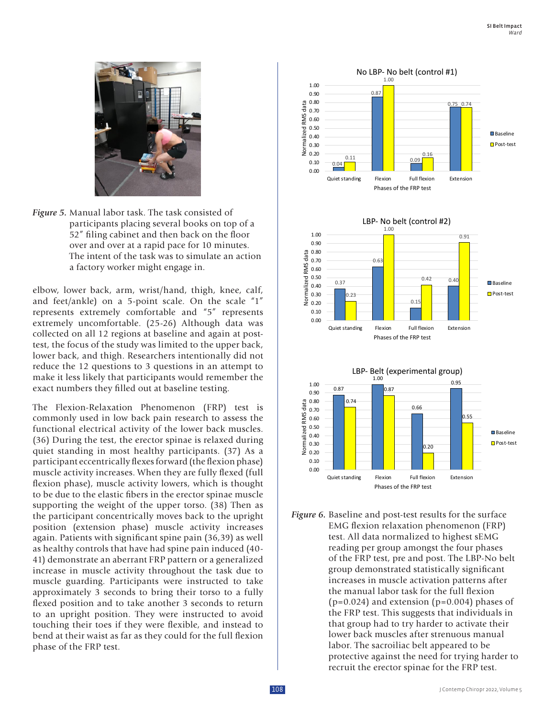

*Figure 5.* Manual labor task. The task consisted of participants placing several books on top of a 52" filing cabinet and then back on the floor over and over at a rapid pace for 10 minutes. The intent of the task was to simulate an action a factory worker might engage in.

elbow, lower back, arm, wrist/hand, thigh, knee, calf, and feet/ankle) on a 5-point scale. On the scale "1" represents extremely comfortable and "5" represents extremely uncomfortable. (25-26) Although data was collected on all 12 regions at baseline and again at posttest, the focus of the study was limited to the upper back, lower back, and thigh. Researchers intentionally did not reduce the 12 questions to 3 questions in an attempt to make it less likely that participants would remember the exact numbers they filled out at baseline testing.

The Flexion-Relaxation Phenomenon (FRP) test is commonly used in low back pain research to assess the functional electrical activity of the lower back muscles. (36) During the test, the erector spinae is relaxed during quiet standing in most healthy participants. (37) As a participant eccentrically flexes forward (the flexion phase) muscle activity increases. When they are fully flexed (full flexion phase), muscle activity lowers, which is thought to be due to the elastic fibers in the erector spinae muscle supporting the weight of the upper torso. (38) Then as the participant concentrically moves back to the upright position (extension phase) muscle activity increases again. Patients with significant spine pain (36,39) as well as healthy controls that have had spine pain induced (40- 41) demonstrate an aberrant FRP pattern or a generalized increase in muscle activity throughout the task due to muscle guarding. Participants were instructed to take approximately 3 seconds to bring their torso to a fully flexed position and to take another 3 seconds to return to an upright position. They were instructed to avoid touching their toes if they were flexible, and instead to bend at their waist as far as they could for the full flexion phase of the FRP test.



*Figure 6.* Baseline and post-test results for the surface EMG flexion relaxation phenomenon (FRP) test. All data normalized to highest sEMG reading per group amongst the four phases of the FRP test, pre and post. The LBP-No belt group demonstrated statistically significant increases in muscle activation patterns after the manual labor task for the full flexion  $(p=0.024)$  and extension  $(p=0.004)$  phases of the FRP test. This suggests that individuals in that group had to try harder to activate their lower back muscles after strenuous manual labor. The sacroiliac belt appeared to be protective against the need for trying harder to recruit the erector spinae for the FRP test.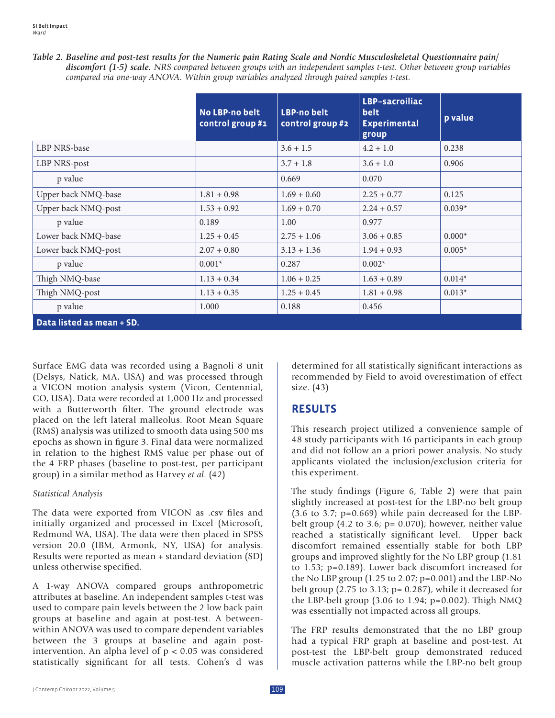| Table 2. Baseline and post-test results for the Numeric pain Rating Scale and Nordic Musculoskeletal Questionnaire pain/ |
|--------------------------------------------------------------------------------------------------------------------------|
| discomfort (1-5) scale. NRS compared between groups with an independent samples t-test. Other between group variables    |
| compared via one-way ANOVA. Within group variables analyzed through paired samples t-test.                               |

|                           | No LBP-no belt<br>control group #1 | <b>LBP-no belt</b><br>control group #2 | LBP-sacroiliac<br>belt<br><b>Experimental</b><br>group | p value  |
|---------------------------|------------------------------------|----------------------------------------|--------------------------------------------------------|----------|
| LBP NRS-base              |                                    | $3.6 + 1.5$                            | $4.2 + 1.0$                                            | 0.238    |
| LBP NRS-post              |                                    | $3.7 + 1.8$                            | $3.6 + 1.0$                                            | 0.906    |
| p value                   |                                    | 0.669                                  | 0.070                                                  |          |
| Upper back NMQ-base       | $1.81 + 0.98$                      | $1.69 + 0.60$                          | $2.25 + 0.77$                                          | 0.125    |
| Upper back NMQ-post       | $1.53 + 0.92$                      | $1.69 + 0.70$                          | $2.24 + 0.57$                                          | $0.039*$ |
| p value                   | 0.189                              | 1.00                                   | 0.977                                                  |          |
| Lower back NMQ-base       | $1.25 + 0.45$                      | $2.75 + 1.06$                          | $3.06 + 0.85$                                          | $0.000*$ |
| Lower back NMQ-post       | $2.07 + 0.80$                      | $3.13 + 1.36$                          | $1.94 + 0.93$                                          | $0.005*$ |
| p value                   | $0.001*$                           | 0.287                                  | $0.002*$                                               |          |
| Thigh NMQ-base            | $1.13 + 0.34$                      | $1.06 + 0.25$                          | $1.63 + 0.89$                                          | $0.014*$ |
| Thigh NMQ-post            | $1.13 + 0.35$                      | $1.25 + 0.45$                          | $1.81 + 0.98$                                          | $0.013*$ |
| p value                   | 1.000                              | 0.188                                  | 0.456                                                  |          |
| Data listed as mean + SD. |                                    |                                        |                                                        |          |

Surface EMG data was recorded using a Bagnoli 8 unit (Delsys, Natick, MA, USA) and was processed through a VICON motion analysis system (Vicon, Centennial, CO, USA). Data were recorded at 1,000 Hz and processed with a Butterworth filter. The ground electrode was placed on the left lateral malleolus. Root Mean Square (RMS) analysis was utilized to smooth data using 500 ms epochs as shown in figure 3. Final data were normalized in relation to the highest RMS value per phase out of the 4 FRP phases (baseline to post-test, per participant group) in a similar method as Harvey *et al*. (42)

### *Statistical Analysis*

The data were exported from VICON as .csv files and initially organized and processed in Excel (Microsoft, Redmond WA, USA). The data were then placed in SPSS version 20.0 (IBM, Armonk, NY, USA) for analysis. Results were reported as mean + standard deviation (SD) unless otherwise specified.

A 1-way ANOVA compared groups anthropometric attributes at baseline. An independent samples t-test was used to compare pain levels between the 2 low back pain groups at baseline and again at post-test. A betweenwithin ANOVA was used to compare dependent variables between the 3 groups at baseline and again postintervention. An alpha level of p < 0.05 was considered statistically significant for all tests. Cohen's d was

determined for all statistically significant interactions as recommended by Field to avoid overestimation of effect size. (43)

## **RESULTS**

This research project utilized a convenience sample of 48 study participants with 16 participants in each group and did not follow an a priori power analysis. No study applicants violated the inclusion/exclusion criteria for this experiment.

The study findings (Figure 6, Table 2) were that pain slightly increased at post-test for the LBP-no belt group (3.6 to 3.7; p=0.669) while pain decreased for the LBPbelt group (4.2 to 3.6;  $p = 0.070$ ); however, neither value reached a statistically significant level. Upper back discomfort remained essentially stable for both LBP groups and improved slightly for the No LBP group (1.81 to 1.53; p=0.189). Lower back discomfort increased for the No LBP group (1.25 to 2.07; p=0.001) and the LBP-No belt group (2.75 to 3.13; p= 0.287), while it decreased for the LBP-belt group  $(3.06 \text{ to } 1.94; \text{ p} = 0.002)$ . Thigh NMQ was essentially not impacted across all groups.

The FRP results demonstrated that the no LBP group had a typical FRP graph at baseline and post-test. At post-test the LBP-belt group demonstrated reduced muscle activation patterns while the LBP-no belt group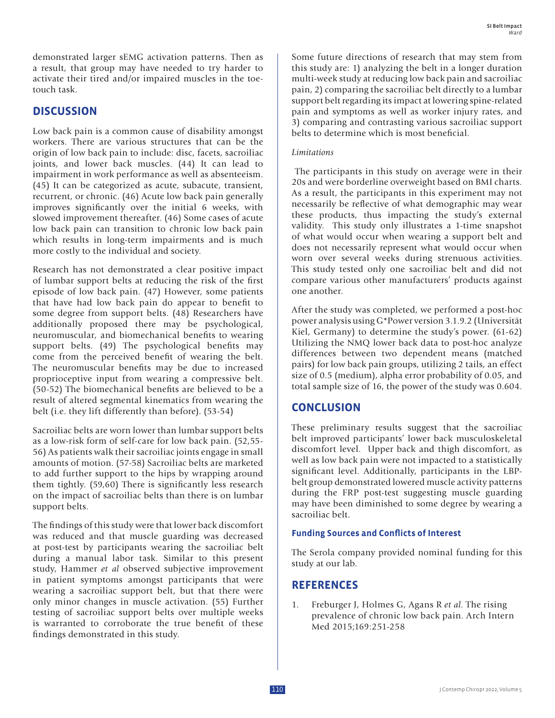demonstrated larger sEMG activation patterns. Then as a result, that group may have needed to try harder to activate their tired and/or impaired muscles in the toetouch task.

## **DISCUSSION**

Low back pain is a common cause of disability amongst workers. There are various structures that can be the origin of low back pain to include: disc, facets, sacroiliac joints, and lower back muscles. (44) It can lead to impairment in work performance as well as absenteeism. (45) It can be categorized as acute, subacute, transient, recurrent, or chronic. (46) Acute low back pain generally improves significantly over the initial 6 weeks, with slowed improvement thereafter. (46) Some cases of acute low back pain can transition to chronic low back pain which results in long-term impairments and is much more costly to the individual and society.

Research has not demonstrated a clear positive impact of lumbar support belts at reducing the risk of the first episode of low back pain. (47) However, some patients that have had low back pain do appear to benefit to some degree from support belts. (48) Researchers have additionally proposed there may be psychological, neuromuscular, and biomechanical benefits to wearing support belts. (49) The psychological benefits may come from the perceived benefit of wearing the belt. The neuromuscular benefits may be due to increased proprioceptive input from wearing a compressive belt. (50-52) The biomechanical benefits are believed to be a result of altered segmental kinematics from wearing the belt (i.e. they lift differently than before). (53-54)

Sacroiliac belts are worn lower than lumbar support belts as a low-risk form of self-care for low back pain. (52,55- 56) As patients walk their sacroiliac joints engage in small amounts of motion. (57-58) Sacroiliac belts are marketed to add further support to the hips by wrapping around them tightly. (59,60) There is significantly less research on the impact of sacroiliac belts than there is on lumbar support belts.

The findings of this study were that lower back discomfort was reduced and that muscle guarding was decreased at post-test by participants wearing the sacroiliac belt during a manual labor task. Similar to this present study, Hammer *et al* observed subjective improvement in patient symptoms amongst participants that were wearing a sacroiliac support belt, but that there were only minor changes in muscle activation. (55) Further testing of sacroiliac support belts over multiple weeks is warranted to corroborate the true benefit of these findings demonstrated in this study.

Some future directions of research that may stem from this study are: 1) analyzing the belt in a longer duration multi-week study at reducing low back pain and sacroiliac pain, 2) comparing the sacroiliac belt directly to a lumbar support belt regarding its impact at lowering spine-related pain and symptoms as well as worker injury rates, and 3) comparing and contrasting various sacroiliac support belts to determine which is most beneficial.

#### *Limitations*

 The participants in this study on average were in their 20s and were borderline overweight based on BMI charts. As a result, the participants in this experiment may not necessarily be reflective of what demographic may wear these products, thus impacting the study's external validity. This study only illustrates a 1-time snapshot of what would occur when wearing a support belt and does not necessarily represent what would occur when worn over several weeks during strenuous activities. This study tested only one sacroiliac belt and did not compare various other manufacturers' products against one another.

After the study was completed, we performed a post-hoc power analysis using G\*Power version 3.1.9.2 (Universität Kiel, Germany) to determine the study's power. (61-62) Utilizing the NMQ lower back data to post-hoc analyze differences between two dependent means (matched pairs) for low back pain groups, utilizing 2 tails, an effect size of 0.5 (medium), alpha error probability of 0.05, and total sample size of 16, the power of the study was 0.604.

## **CONCLUSION**

These preliminary results suggest that the sacroiliac belt improved participants' lower back musculoskeletal discomfort level. Upper back and thigh discomfort, as well as low back pain were not impacted to a statistically significant level. Additionally, participants in the LBPbelt group demonstrated lowered muscle activity patterns during the FRP post-test suggesting muscle guarding may have been diminished to some degree by wearing a sacroiliac belt.

### **Funding Sources and Conflicts of Interest**

The Serola company provided nominal funding for this study at our lab.

## **REFERENCES**

1. Freburger J, Holmes G, Agans R *et al*. The rising prevalence of chronic low back pain. Arch Intern Med 2015;169:251-258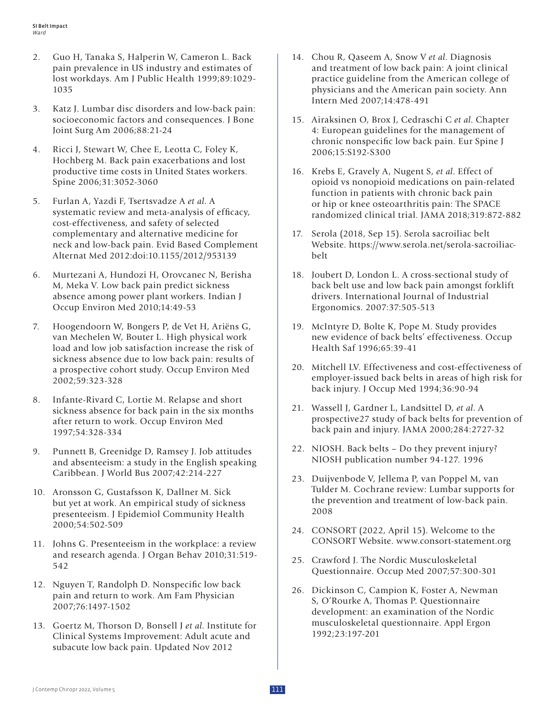- 2. Guo H, Tanaka S, Halperin W, Cameron L. Back pain prevalence in US industry and estimates of lost workdays. Am J Public Health 1999;89:1029- 1035
- 3. Katz J. Lumbar disc disorders and low-back pain: socioeconomic factors and consequences. J Bone Joint Surg Am 2006;88:21-24
- 4. Ricci J, Stewart W, Chee E, Leotta C, Foley K, Hochberg M. Back pain exacerbations and lost productive time costs in United States workers. Spine 2006;31:3052-3060
- 5. Furlan A, Yazdi F, Tsertsvadze A *et al*. A systematic review and meta-analysis of efficacy, cost-effectiveness, and safety of selected complementary and alternative medicine for neck and low-back pain. Evid Based Complement Alternat Med 2012:doi:10.1155/2012/953139
- 6. Murtezani A, Hundozi H, Orovcanec N, Berisha M, Meka V. Low back pain predict sickness absence among power plant workers. Indian J Occup Environ Med 2010;14:49-53
- 7. Hoogendoorn W, Bongers P, de Vet H, Ariëns G, van Mechelen W, Bouter L. High physical work load and low job satisfaction increase the risk of sickness absence due to low back pain: results of a prospective cohort study. Occup Environ Med 2002;59:323-328
- 8. Infante-Rivard C, Lortie M. Relapse and short sickness absence for back pain in the six months after return to work. Occup Environ Med 1997;54:328-334
- 9. Punnett B, Greenidge D, Ramsey J. Job attitudes and absenteeism: a study in the English speaking Caribbean. J World Bus 2007;42:214-227
- 10. Aronsson G, Gustafsson K, Dallner M. Sick but yet at work. An empirical study of sickness presenteeism. J Epidemiol Community Health 2000;54:502-509
- 11. Johns G. Presenteeism in the workplace: a review and research agenda. J Organ Behav 2010;31:519- 542
- 12. Nguyen T, Randolph D. Nonspecific low back pain and return to work. Am Fam Physician 2007;76:1497-1502
- 13. Goertz M, Thorson D, Bonsell J *et al*. Institute for Clinical Systems Improvement: Adult acute and subacute low back pain. Updated Nov 2012
- 14. Chou R, Qaseem A, Snow V *et al*. Diagnosis and treatment of low back pain: A joint clinical practice guideline from the American college of physicians and the American pain society. Ann Intern Med 2007;14:478-491
- 15. Airaksinen O, Brox J, Cedraschi C *et al*. Chapter 4: European guidelines for the management of chronic nonspecific low back pain. Eur Spine J 2006;15:S192-S300
- 16. Krebs E, Gravely A, Nugent S, *et al*. Effect of opioid vs nonopioid medications on pain-related function in patients with chronic back pain or hip or knee osteoarthritis pain: The SPACE randomized clinical trial. JAMA 2018;319:872-882
- 17. Serola (2018, Sep 15). Serola sacroiliac belt Website. https://www.serola.net/serola-sacroiliacbelt
- 18. Joubert D, London L. A cross-sectional study of back belt use and low back pain amongst forklift drivers. International Journal of Industrial Ergonomics. 2007:37:505-513
- 19. McIntyre D, Bolte K, Pope M. Study provides new evidence of back belts' effectiveness. Occup Health Saf 1996;65:39-41
- 20. Mitchell LV. Effectiveness and cost-effectiveness of employer-issued back belts in areas of high risk for back injury. J Occup Med 1994;36:90-94
- 21. Wassell J, Gardner L, Landsittel D, *et al*. A prospective27 study of back belts for prevention of back pain and injury. JAMA 2000;284:2727-32
- 22. NIOSH. Back belts Do they prevent injury? NIOSH publication number 94-127. 1996
- 23. Duijvenbode V, Jellema P, van Poppel M, van Tulder M. Cochrane review: Lumbar supports for the prevention and treatment of low-back pain. 2008
- 24. CONSORT (2022, April 15). Welcome to the CONSORT Website. www.consort-statement.org
- 25. Crawford J. The Nordic Musculoskeletal Questionnaire. Occup Med 2007;57:300-301
- 26. Dickinson C, Campion K, Foster A, Newman S, O'Rourke A, Thomas P. Questionnaire development: an examination of the Nordic musculoskeletal questionnaire. Appl Ergon 1992;23:197-201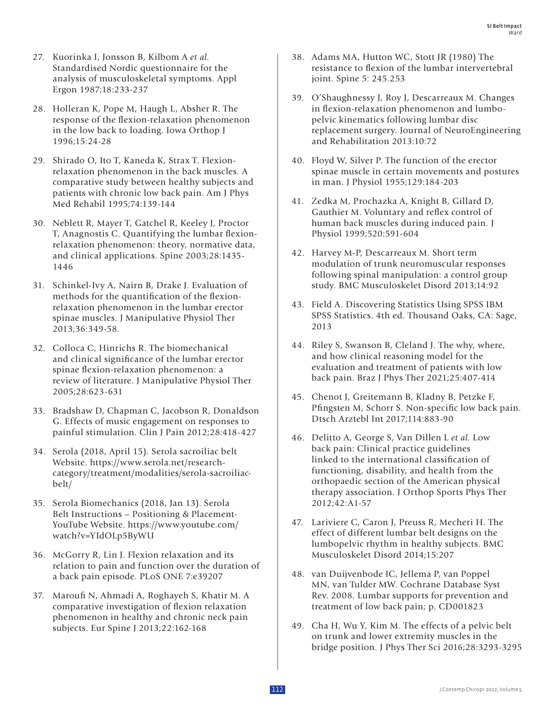- 27. Kuorinka I, Jonsson B, Kilbom A *et al*. Standardised Nordic questionnaire for the analysis of musculoskeletal symptoms. Appl Ergon 1987;18:233-237
- 28. Holleran K, Pope M, Haugh L, Absher R. The response of the flexion-relaxation phenomenon in the low back to loading. Iowa Orthop J 1996;15:24-28
- 29. Shirado O, Ito T, Kaneda K, Strax T. Flexionrelaxation phenomenon in the back muscles. A comparative study between healthy subjects and patients with chronic low back pain. Am J Phys Med Rehabil 1995;74:139-144
- 30. Neblett R, Mayer T, Gatchel R, Keeley J, Proctor T, Anagnostis C. Quantifying the lumbar flexionrelaxation phenomenon: theory, normative data, and clinical applications. Spine 2003;28:1435- 1446
- 31. Schinkel-Ivy A, Nairn B, Drake J. Evaluation of methods for the quantification of the flexionrelaxation phenomenon in the lumbar erector spinae muscles. J Manipulative Physiol Ther 2013;36:349-58.
- 32. Colloca C, Hinrichs R. The biomechanical and clinical significance of the lumbar erector spinae flexion-relaxation phenomenon: a review of literature. J Manipulative Physiol Ther 2005;28:623-631
- 33. Bradshaw D, Chapman C, Jacobson R, Donaldson G. Effects of music engagement on responses to painful stimulation. Clin J Pain 2012;28:418-427
- 34. Serola (2018, April 15). Serola sacroiliac belt Website. https://www.serola.net/researchcategory/treatment/modalities/serola-sacroiliacbelt/
- 35. Serola Biomechanics (2018, Jan 13). Serola Belt Instructions – Positioning & Placement-YouTube Website. https://www.youtube.com/ watch?v=YIdOLp5ByWU
- 36. McGorry R, Lin J. Flexion relaxation and its relation to pain and function over the duration of a back pain episode. PLoS ONE 7:e39207
- 37. Maroufi N, Ahmadi A, Roghayeh S, Khatir M. A comparative investigation of flexion relaxation phenomenon in healthy and chronic neck pain subjects. Eur Spine J 2013;22:162-168
- 38. Adams MA, Hutton WC, Stott JR (1980) The resistance to flexion of the lumbar intervertebral joint. Spine 5: 245.253
- 39. O'Shaughnessy J, Roy J, Descarreaux M. Changes in flexion-relaxation phenomenon and lumbopelvic kinematics following lumbar disc replacement surgery. Journal of NeuroEngineering and Rehabilitation 2013:10:72
- 40. Floyd W, Silver P. The function of the erector spinae muscle in certain movements and postures in man. J Physiol 1955;129:184-203
- 41. Zedka M, Prochazka A, Knight B, Gillard D, Gauthier M. Voluntary and reflex control of human back muscles during induced pain. J Physiol 1999;520:591-604
- 42. Harvey M-P, Descarreaux M. Short term modulation of trunk neuromuscular responses following spinal manipulation: a control group study. BMC Musculoskelet Disord 2013;14:92
- 43. Field A. Discovering Statistics Using SPSS IBM SPSS Statistics. 4th ed. Thousand Oaks, CA: Sage, 2013
- 44. Riley S, Swanson B, Cleland J. The why, where, and how clinical reasoning model for the evaluation and treatment of patients with low back pain. Braz J Phys Ther 2021;25:407-414
- 45. Chenot J, Greitemann B, Kladny B, Petzke F, Pfingsten M, Schorr S. Non-specific low back pain. Dtsch Arztebl Int 2017;114:883-90
- 46. Delitto A, George S, Van Dillen L *et al*. Low back pain: Clinical practice guidelines linked to the international classification of functioning, disability, and health from the orthopaedic section of the American physical therapy association. J Orthop Sports Phys Ther 2012;42:A1-57
- 47. Lariviere C, Caron J, Preuss R, Mecheri H. The effect of different lumbar belt designs on the lumbopelvic rhythm in healthy subjects. BMC Musculoskelet Disord 2014;15:207
- 48. van Duijvenbode IC, Jellema P, van Poppel MN, van Tulder MW. Cochrane Database Syst Rev. 2008. Lumbar supports for prevention and treatment of low back pain; p. CD001823
- 49. Cha H, Wu Y, Kim M. The effects of a pelvic belt on trunk and lower extremity muscles in the bridge position. J Phys Ther Sci 2016;28:3293-3295